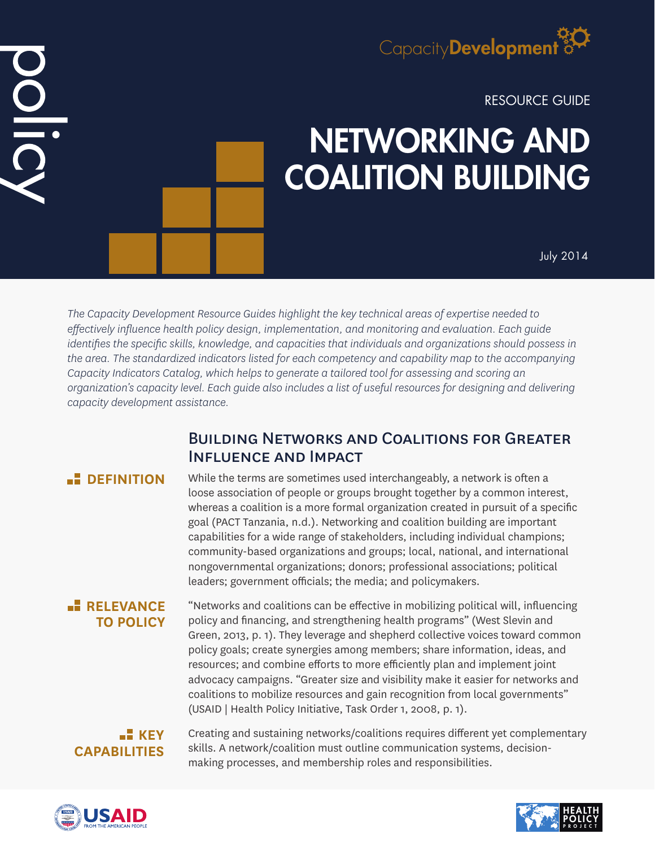

RESOURCE GUIDE

# NETWORKING AND COALITION BUILDING

July 2014

*The Capacity Development Resource Guides highlight the key technical areas of expertise needed to effectively influence health policy design, implementation, and monitoring and evaluation. Each guide identifies the specific skills, knowledge, and capacities that individuals and organizations should possess in the area. The standardized indicators listed for each competency and capability map to the accompanying Capacity Indicators Catalog, which helps to generate a tailored tool for assessing and scoring an organization's capacity level. Each guide also includes a list of useful resources for designing and delivering capacity development assistance.*

# Building Networks and Coalitions for Greater Influence and Impact

 $\frac{\mathsf{O}}{\mathsf{I}}$ 

**DEFINITION** While the terms are sometimes used interchangeably, a network is often a loose association of people or groups brought together by a common interest, whereas a coalition is a more formal organization created in pursuit of a specific goal (PACT Tanzania, n.d.). Networking and coalition building are important capabilities for a wide range of stakeholders, including individual champions; community-based organizations and groups; local, national, and international nongovernmental organizations; donors; professional associations; political leaders; government officials; the media; and policymakers.

# **RELEVANCE TO POLICY**

"Networks and coalitions can be effective in mobilizing political will, influencing policy and financing, and strengthening health programs" (West Slevin and Green, 2013, p. 1). They leverage and shepherd collective voices toward common policy goals; create synergies among members; share information, ideas, and resources; and combine efforts to more efficiently plan and implement joint advocacy campaigns. "Greater size and visibility make it easier for networks and coalitions to mobilize resources and gain recognition from local governments" (USAID | Health Policy Initiative, Task Order 1, 2008, p. 1).

# **KEY CAPABILITIES**

Creating and sustaining networks/coalitions requires different yet complementary skills. A network/coalition must outline communication systems, decisionmaking processes, and membership roles and responsibilities.



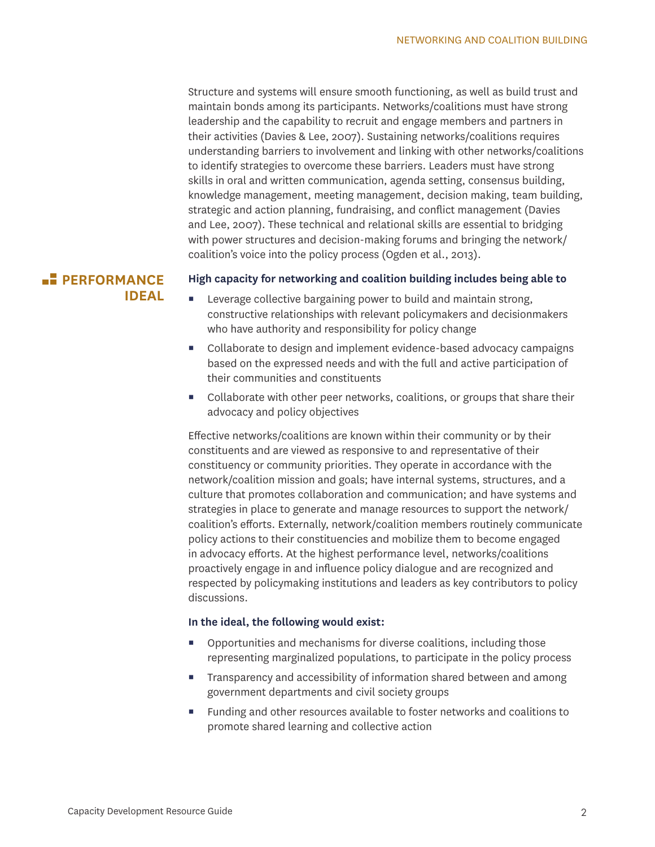Structure and systems will ensure smooth functioning, as well as build trust and maintain bonds among its participants. Networks/coalitions must have strong leadership and the capability to recruit and engage members and partners in their activities (Davies & Lee, 2007). Sustaining networks/coalitions requires understanding barriers to involvement and linking with other networks/coalitions to identify strategies to overcome these barriers. Leaders must have strong skills in oral and written communication, agenda setting, consensus building, knowledge management, meeting management, decision making, team building, strategic and action planning, fundraising, and conflict management (Davies and Lee, 2007). These technical and relational skills are essential to bridging with power structures and decision-making forums and bringing the network/ coalition's voice into the policy process (Ogden et al., 2013).

# **PERFORMANCE IDEAL**

#### **High capacity for networking and coalition building includes being able to**

- Leverage collective bargaining power to build and maintain strong, constructive relationships with relevant policymakers and decisionmakers who have authority and responsibility for policy change
- Collaborate to design and implement evidence-based advocacy campaigns based on the expressed needs and with the full and active participation of their communities and constituents
- Collaborate with other peer networks, coalitions, or groups that share their advocacy and policy objectives

Effective networks/coalitions are known within their community or by their constituents and are viewed as responsive to and representative of their constituency or community priorities. They operate in accordance with the network/coalition mission and goals; have internal systems, structures, and a culture that promotes collaboration and communication; and have systems and strategies in place to generate and manage resources to support the network/ coalition's efforts. Externally, network/coalition members routinely communicate policy actions to their constituencies and mobilize them to become engaged in advocacy efforts. At the highest performance level, networks/coalitions proactively engage in and influence policy dialogue and are recognized and respected by policymaking institutions and leaders as key contributors to policy discussions.

#### **In the ideal, the following would exist:**

- Opportunities and mechanisms for diverse coalitions, including those representing marginalized populations, to participate in the policy process
- **Transparency and accessibility of information shared between and among** government departments and civil society groups
- Funding and other resources available to foster networks and coalitions to promote shared learning and collective action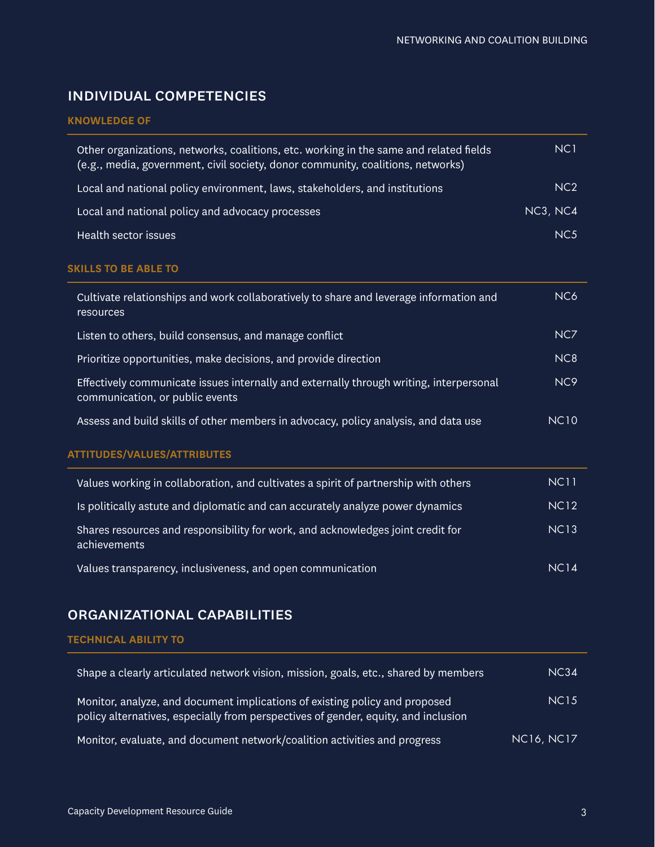# individual competencies

### **KNOWLEDGE OF**

| Other organizations, networks, coalitions, etc. working in the same and related fields<br>(e.g., media, government, civil society, donor community, coalitions, networks) | NC <sub>1</sub> |
|---------------------------------------------------------------------------------------------------------------------------------------------------------------------------|-----------------|
| Local and national policy environment, laws, stakeholders, and institutions                                                                                               | NC <sub>2</sub> |
| Local and national policy and advocacy processes                                                                                                                          | NC3, NC4        |
| Health sector issues                                                                                                                                                      | NC <sub>5</sub> |

#### **SKILLS TO BE ABLE TO**

| Cultivate relationships and work collaboratively to share and leverage information and<br>resources                        | NC <sub>6</sub>  |
|----------------------------------------------------------------------------------------------------------------------------|------------------|
| Listen to others, build consensus, and manage conflict                                                                     | NC7              |
| Prioritize opportunities, make decisions, and provide direction                                                            | N <sub>C</sub> 8 |
| Effectively communicate issues internally and externally through writing, interpersonal<br>communication, or public events | NC <sub>9</sub>  |
| Assess and build skills of other members in advocacy, policy analysis, and data use                                        | <b>NC10</b>      |

## **ATTITUDES/VALUES/ATTRIBUTES**

| Values working in collaboration, and cultivates a spirit of partnership with others             | <b>NC11</b>      |
|-------------------------------------------------------------------------------------------------|------------------|
| Is politically astute and diplomatic and can accurately analyze power dynamics                  | <b>NC12</b>      |
| Shares resources and responsibility for work, and acknowledges joint credit for<br>achievements | <b>NC13</b>      |
| Values transparency, inclusiveness, and open communication                                      | NC <sub>14</sub> |

# organizational capabilities

#### **TECHNICAL ABILITY TO**

| Shape a clearly articulated network vision, mission, goals, etc., shared by members                                                                               | NC34              |
|-------------------------------------------------------------------------------------------------------------------------------------------------------------------|-------------------|
| Monitor, analyze, and document implications of existing policy and proposed<br>policy alternatives, especially from perspectives of gender, equity, and inclusion | <b>NC15</b>       |
| Monitor, evaluate, and document network/coalition activities and progress                                                                                         | <b>NC16, NC17</b> |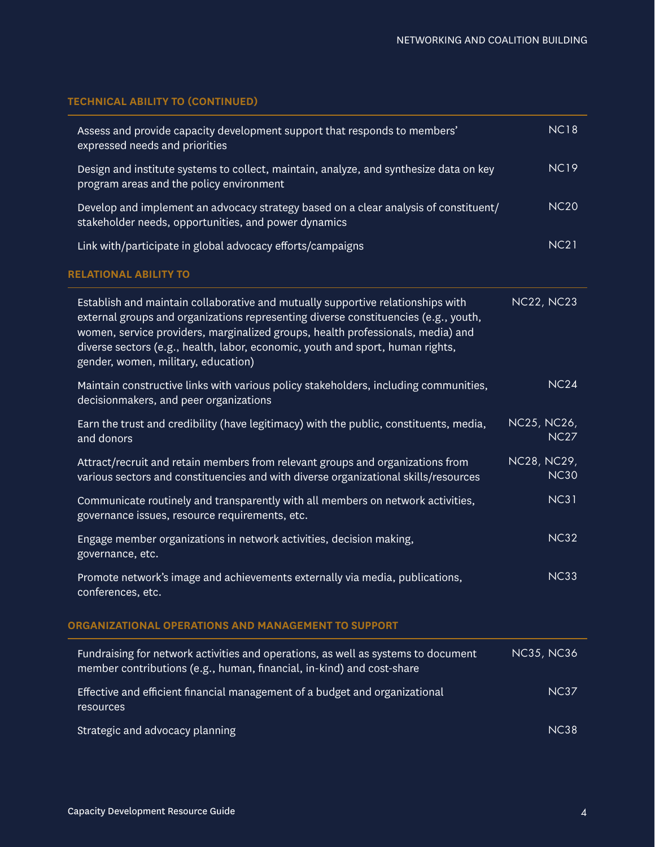# **TECHNICAL ABILITY TO (CONTINUED)**

|                                                     | Assess and provide capacity development support that responds to members'<br>expressed needs and priorities                                                                                                                                                                                                                                                                        | <b>NC18</b>                |  |
|-----------------------------------------------------|------------------------------------------------------------------------------------------------------------------------------------------------------------------------------------------------------------------------------------------------------------------------------------------------------------------------------------------------------------------------------------|----------------------------|--|
|                                                     | Design and institute systems to collect, maintain, analyze, and synthesize data on key<br>program areas and the policy environment                                                                                                                                                                                                                                                 | <b>NC19</b>                |  |
|                                                     | Develop and implement an advocacy strategy based on a clear analysis of constituent/<br>stakeholder needs, opportunities, and power dynamics                                                                                                                                                                                                                                       | <b>NC20</b>                |  |
|                                                     | Link with/participate in global advocacy efforts/campaigns                                                                                                                                                                                                                                                                                                                         | <b>NC21</b>                |  |
|                                                     | <b>RELATIONAL ABILITY TO</b>                                                                                                                                                                                                                                                                                                                                                       |                            |  |
|                                                     | Establish and maintain collaborative and mutually supportive relationships with<br>external groups and organizations representing diverse constituencies (e.g., youth,<br>women, service providers, marginalized groups, health professionals, media) and<br>diverse sectors (e.g., health, labor, economic, youth and sport, human rights,<br>gender, women, military, education) | <b>NC22, NC23</b>          |  |
|                                                     | Maintain constructive links with various policy stakeholders, including communities,<br>decisionmakers, and peer organizations                                                                                                                                                                                                                                                     | <b>NC24</b>                |  |
|                                                     | Earn the trust and credibility (have legitimacy) with the public, constituents, media,<br>and donors                                                                                                                                                                                                                                                                               | NC25, NC26,<br><b>NC27</b> |  |
|                                                     | Attract/recruit and retain members from relevant groups and organizations from<br>various sectors and constituencies and with diverse organizational skills/resources                                                                                                                                                                                                              | NC28, NC29,<br><b>NC30</b> |  |
|                                                     | Communicate routinely and transparently with all members on network activities,<br>governance issues, resource requirements, etc.                                                                                                                                                                                                                                                  | <b>NC31</b>                |  |
|                                                     | Engage member organizations in network activities, decision making,<br>governance, etc.                                                                                                                                                                                                                                                                                            | <b>NC32</b>                |  |
|                                                     | Promote network's image and achievements externally via media, publications,<br>conferences, etc.                                                                                                                                                                                                                                                                                  | <b>NC33</b>                |  |
| ORGANIZATIONAL OPERATIONS AND MANAGEMENT TO SUPPORT |                                                                                                                                                                                                                                                                                                                                                                                    |                            |  |
|                                                     | Fundraising for network activities and operations, as well as systems to document<br>member contributions (e.g., human, financial, in-kind) and cost-share                                                                                                                                                                                                                         | <b>NC35, NC36</b>          |  |
|                                                     | Effective and efficient financial management of a budget and organizational<br>resources                                                                                                                                                                                                                                                                                           | <b>NC37</b>                |  |
|                                                     | Strategic and advocacy planning                                                                                                                                                                                                                                                                                                                                                    | <b>NC38</b>                |  |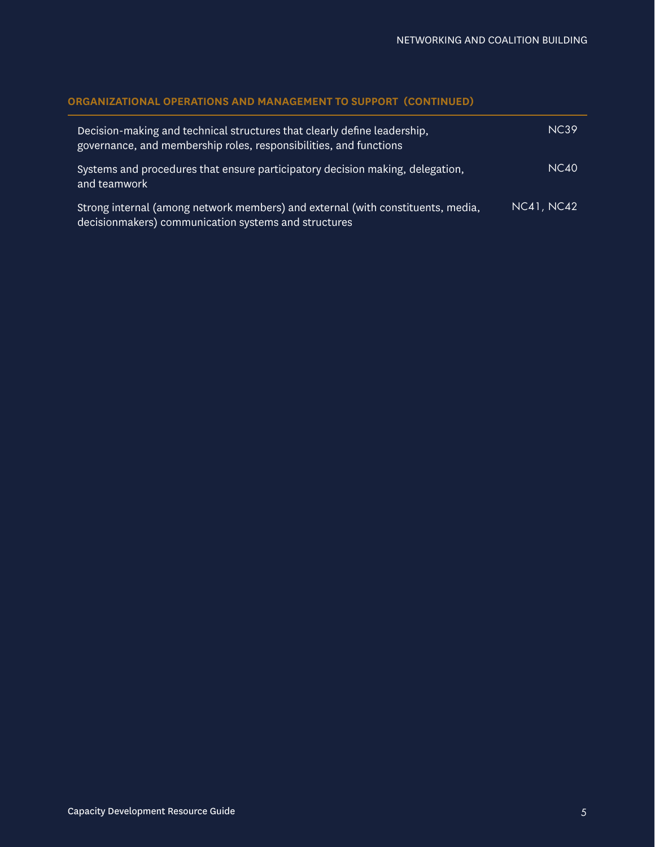## **ORGANIZATIONAL OPERATIONS AND MANAGEMENT TO SUPPORT (CONTINUED)**

| Decision-making and technical structures that clearly define leadership,<br>governance, and membership roles, responsibilities, and functions | <b>NC39</b>       |
|-----------------------------------------------------------------------------------------------------------------------------------------------|-------------------|
| Systems and procedures that ensure participatory decision making, delegation,<br>and teamwork                                                 | <b>NC40</b>       |
| Strong internal (among network members) and external (with constituents, media,<br>decisionmakers) communication systems and structures       | <b>NC41, NC42</b> |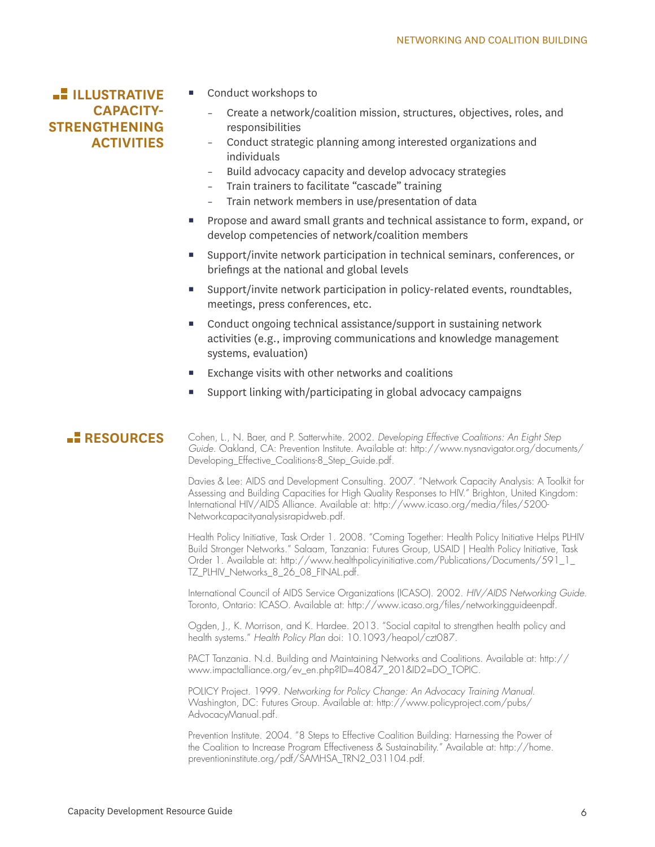# **ILLUSTRATIVE CAPACITY-STRENGTHENING ACTIVITIES**

- Conduct workshops to
	- Create a network/coalition mission, structures, objectives, roles, and responsibilities
	- Conduct strategic planning among interested organizations and individuals
	- Build advocacy capacity and develop advocacy strategies
	- Train trainers to facilitate "cascade" training
	- Train network members in use/presentation of data
- **Propose and award small grants and technical assistance to form, expand, or** develop competencies of network/coalition members
- Support/invite network participation in technical seminars, conferences, or briefings at the national and global levels
- Support/invite network participation in policy-related events, roundtables, meetings, press conferences, etc.
- Conduct ongoing technical assistance/support in sustaining network activities (e.g., improving communications and knowledge management systems, evaluation)
- Exchange visits with other networks and coalitions
- Support linking with/participating in global advocacy campaigns

**RESOURCES** Cohen, L., N. Baer, and P. Satterwhite. 2002. *Developing Effective Coalitions: An Eight Step Guide*. Oakland, CA: Prevention Institute. Available at: http://www.nysnavigator.org/documents/ Developing Effective Coalitions-8 Step Guide.pdf.

> Davies & Lee: AIDS and Development Consulting. 2007. "Network Capacity Analysis: A Toolkit for Assessing and Building Capacities for High Quality Responses to HIV." Brighton, United Kingdom: International HIV/AIDS Alliance. Available at: http://www.icaso.org/media/files/5200- Networkcapacityanalysisrapidweb.pdf.

> Health Policy Initiative, Task Order 1. 2008. "Coming Together: Health Policy Initiative Helps PLHIV Build Stronger Networks." Salaam, Tanzania: Futures Group, USAID | Health Policy Initiative, Task Order 1. Available at: http://www.healthpolicyinitiative.com/Publications/Documents/591\_1\_ TZ\_PLHIV\_Networks\_8\_26\_08\_FINAL.pdf.

> International Council of AIDS Service Organizations (ICASO). 2002. *HIV/AIDS Networking Guide*. Toronto, Ontario: ICASO. Available at: http://www.icaso.org/files/networkingguideenpdf.

Ogden, J., K. Morrison, and K. Hardee. 2013. "Social capital to strengthen health policy and health systems." *Health Policy Plan* doi: 10.1093/heapol/czt087.

PACT Tanzania. N.d. Building and Maintaining Networks and Coalitions. Available at: http:// www.impactalliance.org/ev\_en.php?ID=40847\_201&ID2=DO\_TOPIC.

POLICY Project. 1999. *Networking for Policy Change: An Advocacy Training Manual*. Washington, DC: Futures Group. Available at: http://www.policyproject.com/pubs/ AdvocacyManual.pdf.

Prevention Institute. 2004. "8 Steps to Effective Coalition Building: Harnessing the Power of the Coalition to Increase Program Effectiveness & Sustainability." Available at: http://home. preventioninstitute.org/pdf/SAMHSA\_TRN2\_031104.pdf.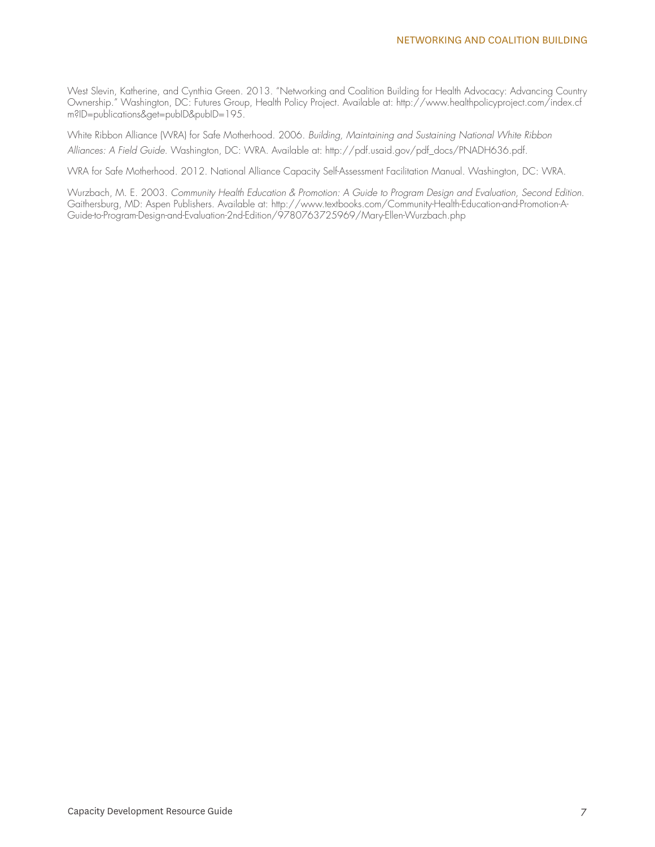West Slevin, Katherine, and Cynthia Green. 2013. "Networking and Coalition Building for Health Advocacy: Advancing Country Ownership." Washington, DC: Futures Group, Health Policy Project. Available at: http://www.healthpolicyproject.com/index.cf m?ID=publications&get=pubID&pubID=195.

White Ribbon Alliance (WRA) for Safe Motherhood. 2006. *Building, Maintaining and Sustaining National White Ribbon Alliances: A Field Guide*. Washington, DC: WRA. Available at: http://pdf.usaid.gov/pdf\_docs/PNADH636.pdf.

WRA for Safe Motherhood. 2012. National Alliance Capacity Self-Assessment Facilitation Manual. Washington, DC: WRA.

Wurzbach, M. E. 2003. *Community Health Education & Promotion: A Guide to Program Design and Evaluation, Second Edition*. Gaithersburg, MD: Aspen Publishers. Available at: http://www.textbooks.com/Community-Health-Education-and-Promotion-A-Guide-to-Program-Design-and-Evaluation-2nd-Edition/9780763725969/Mary-Ellen-Wurzbach.php